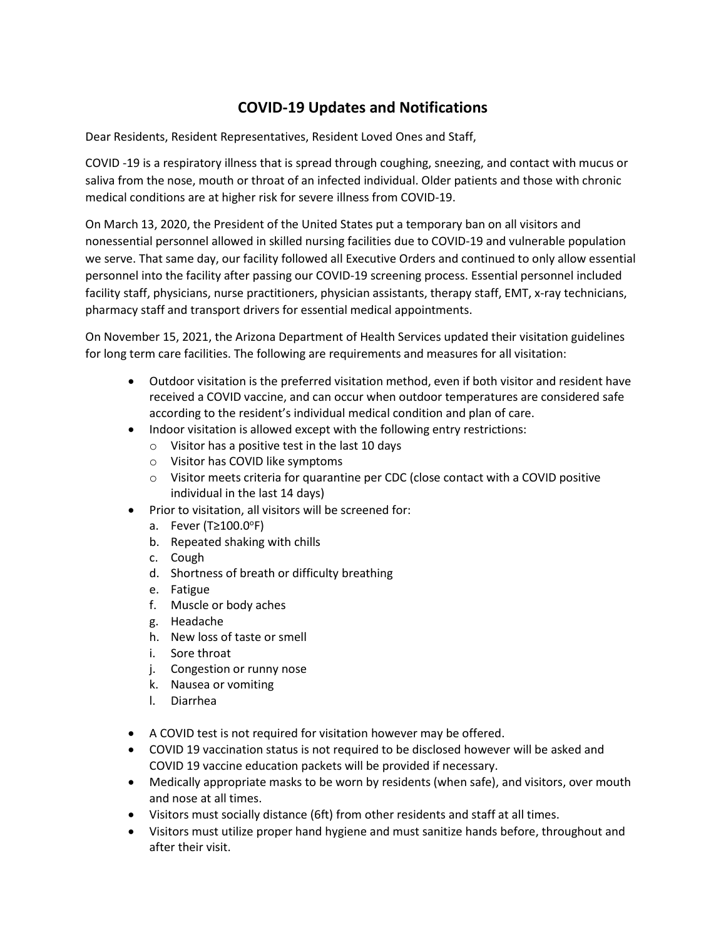## **COVID-19 Updates and Notifications**

Dear Residents, Resident Representatives, Resident Loved Ones and Staff,

COVID -19 is a respiratory illness that is spread through coughing, sneezing, and contact with mucus or saliva from the nose, mouth or throat of an infected individual. Older patients and those with chronic medical conditions are at higher risk for severe illness from COVID-19.

On March 13, 2020, the President of the United States put a temporary ban on all visitors and nonessential personnel allowed in skilled nursing facilities due to COVID-19 and vulnerable population we serve. That same day, our facility followed all Executive Orders and continued to only allow essential personnel into the facility after passing our COVID-19 screening process. Essential personnel included facility staff, physicians, nurse practitioners, physician assistants, therapy staff, EMT, x-ray technicians, pharmacy staff and transport drivers for essential medical appointments.

On November 15, 2021, the Arizona Department of Health Services updated their visitation guidelines for long term care facilities. The following are requirements and measures for all visitation:

- Outdoor visitation is the preferred visitation method, even if both visitor and resident have received a COVID vaccine, and can occur when outdoor temperatures are considered safe according to the resident's individual medical condition and plan of care.
- Indoor visitation is allowed except with the following entry restrictions:
	- $\circ$  Visitor has a positive test in the last 10 days
	- o Visitor has COVID like symptoms
	- $\circ$  Visitor meets criteria for quarantine per CDC (close contact with a COVID positive individual in the last 14 days)
- Prior to visitation, all visitors will be screened for:
	- a. Fever (T≥100.0°F)
	- b. Repeated shaking with chills
	- c. Cough
	- d. Shortness of breath or difficulty breathing
	- e. Fatigue
	- f. Muscle or body aches
	- g. Headache
	- h. New loss of taste or smell
	- i. Sore throat
	- j. Congestion or runny nose
	- k. Nausea or vomiting
	- l. Diarrhea
- A COVID test is not required for visitation however may be offered.
- COVID 19 vaccination status is not required to be disclosed however will be asked and COVID 19 vaccine education packets will be provided if necessary.
- Medically appropriate masks to be worn by residents (when safe), and visitors, over mouth and nose at all times.
- Visitors must socially distance (6ft) from other residents and staff at all times.
- Visitors must utilize proper hand hygiene and must sanitize hands before, throughout and after their visit.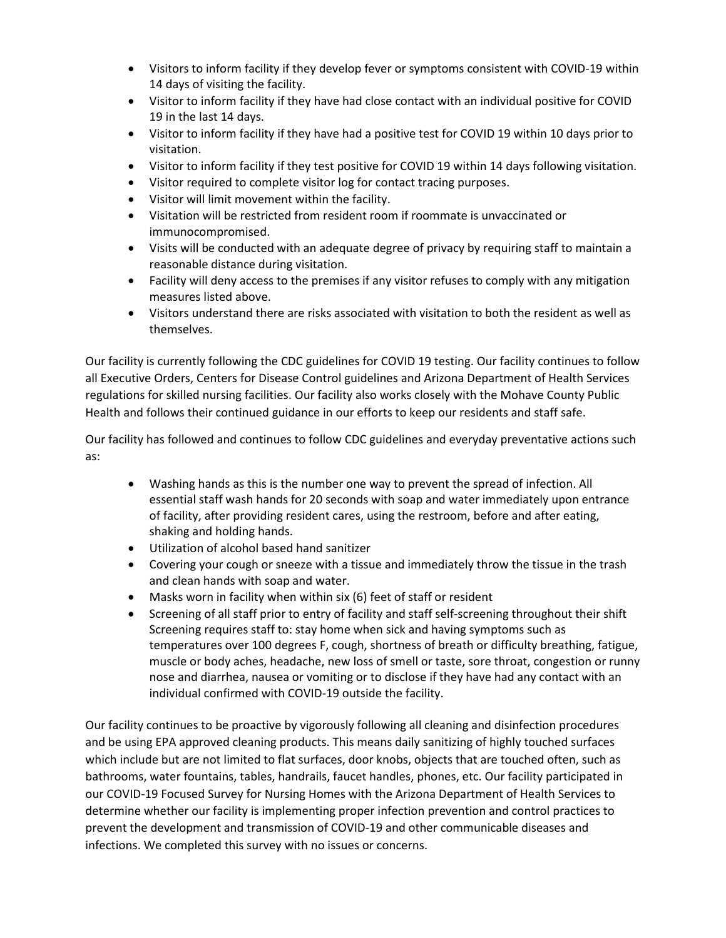- Visitors to inform facility if they develop fever or symptoms consistent with COVID-19 within 14 days of visiting the facility.
- Visitor to inform facility if they have had close contact with an individual positive for COVID 19 in the last 14 days.
- Visitor to inform facility if they have had a positive test for COVID 19 within 10 days prior to visitation.
- Visitor to inform facility if they test positive for COVID 19 within 14 days following visitation.
- Visitor required to complete visitor log for contact tracing purposes.
- Visitor will limit movement within the facility.
- Visitation will be restricted from resident room if roommate is unvaccinated or immunocompromised.
- Visits will be conducted with an adequate degree of privacy by requiring staff to maintain a reasonable distance during visitation.
- Facility will deny access to the premises if any visitor refuses to comply with any mitigation measures listed above.
- Visitors understand there are risks associated with visitation to both the resident as well as themselves.

Our facility is currently following the CDC guidelines for COVID 19 testing. Our facility continues to follow all Executive Orders, Centers for Disease Control guidelines and Arizona Department of Health Services regulations for skilled nursing facilities. Our facility also works closely with the Mohave County Public Health and follows their continued guidance in our efforts to keep our residents and staff safe.

Our facility has followed and continues to follow CDC guidelines and everyday preventative actions such as:

- Washing hands as this is the number one way to prevent the spread of infection. All essential staff wash hands for 20 seconds with soap and water immediately upon entrance of facility, after providing resident cares, using the restroom, before and after eating, shaking and holding hands.
- Utilization of alcohol based hand sanitizer
- Covering your cough or sneeze with a tissue and immediately throw the tissue in the trash and clean hands with soap and water.
- Masks worn in facility when within six (6) feet of staff or resident
- Screening of all staff prior to entry of facility and staff self-screening throughout their shift Screening requires staff to: stay home when sick and having symptoms such as temperatures over 100 degrees F, cough, shortness of breath or difficulty breathing, fatigue, muscle or body aches, headache, new loss of smell or taste, sore throat, congestion or runny nose and diarrhea, nausea or vomiting or to disclose if they have had any contact with an individual confirmed with COVID-19 outside the facility.

Our facility continues to be proactive by vigorously following all cleaning and disinfection procedures and be using EPA approved cleaning products. This means daily sanitizing of highly touched surfaces which include but are not limited to flat surfaces, door knobs, objects that are touched often, such as bathrooms, water fountains, tables, handrails, faucet handles, phones, etc. Our facility participated in our COVID-19 Focused Survey for Nursing Homes with the Arizona Department of Health Services to determine whether our facility is implementing proper infection prevention and control practices to prevent the development and transmission of COVID-19 and other communicable diseases and infections. We completed this survey with no issues or concerns.